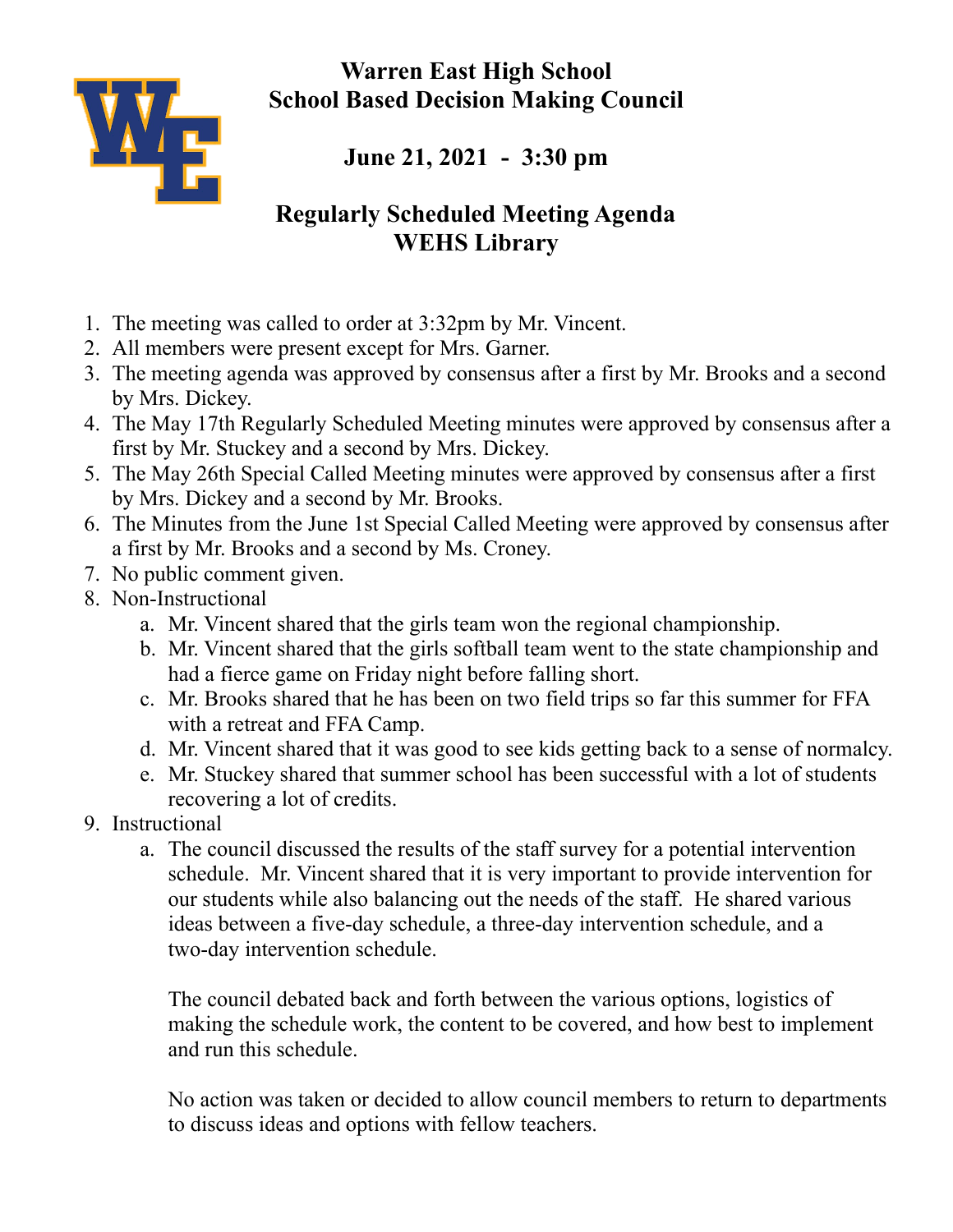**Warren East High School School Based Decision Making Council**



**June 21, 2021 - 3:30 pm**

## **Regularly Scheduled Meeting Agenda WEHS Library**

- 1. The meeting was called to order at 3:32pm by Mr. Vincent.
- 2. All members were present except for Mrs. Garner.
- 3. The meeting agenda was approved by consensus after a first by Mr. Brooks and a second by Mrs. Dickey.
- 4. The May 17th Regularly Scheduled Meeting minutes were approved by consensus after a first by Mr. Stuckey and a second by Mrs. Dickey.
- 5. The May 26th Special Called Meeting minutes were approved by consensus after a first by Mrs. Dickey and a second by Mr. Brooks.
- 6. The Minutes from the June 1st Special Called Meeting were approved by consensus after a first by Mr. Brooks and a second by Ms. Croney.
- 7. No public comment given.
- 8. Non-Instructional
	- a. Mr. Vincent shared that the girls team won the regional championship.
	- b. Mr. Vincent shared that the girls softball team went to the state championship and had a fierce game on Friday night before falling short.
	- c. Mr. Brooks shared that he has been on two field trips so far this summer for FFA with a retreat and FFA Camp.
	- d. Mr. Vincent shared that it was good to see kids getting back to a sense of normalcy.
	- e. Mr. Stuckey shared that summer school has been successful with a lot of students recovering a lot of credits.
- 9. Instructional
	- a. The council discussed the results of the staff survey for a potential intervention schedule. Mr. Vincent shared that it is very important to provide intervention for our students while also balancing out the needs of the staff. He shared various ideas between a five-day schedule, a three-day intervention schedule, and a two-day intervention schedule.

The council debated back and forth between the various options, logistics of making the schedule work, the content to be covered, and how best to implement and run this schedule.

No action was taken or decided to allow council members to return to departments to discuss ideas and options with fellow teachers.